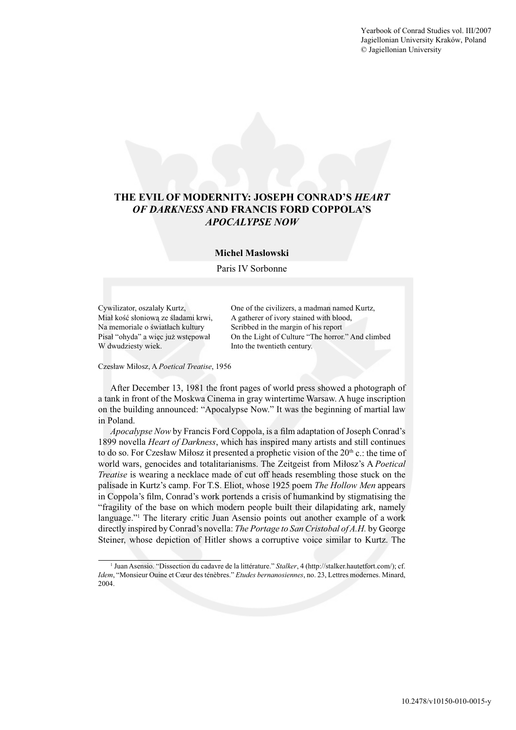Yearbook of Conrad Studies vol. III/2007 Jagiellonian University Kraków, Poland © Jagiellonian University



## **Michel Maslowski**

#### Paris IV Sorbonne

Na memoriale o światłach kultury Scribbed in the margin of his report W dwudziesty wiek. Into the twentieth century.

Cywilizator, oszalały Kurtz, One of the civilizers, a madman named Kurtz, Miał kość słoniową ze śladami krwi, A gatherer of ivory stained with blood, Pisał "ohyda" a więc już wstępował On the Light of Culture "The horror." And climbed

#### Czesław Miłosz, A *Poetical Treatise*, 1956

After December 13, 1981 the front pages of world press showed a photograph of a tank in front of the Moskwa Cinema in gray wintertime Warsaw. A huge inscription on the building announced: "Apocalypse Now." It was the beginning of martial law in Poland.

*Apocalypse Now* by Francis Ford Coppola, is a film adaptation of Joseph Conrad's 1899 novella *Heart of Darkness*, which has inspired many artists and still continues to do so. For Czesław Miłosz it presented a prophetic vision of the  $20<sup>th</sup>$  c.: the time of world wars, genocides and totalitarianisms. The Zeitgeist from Miłosz's A *Poetical Treatise* is wearing a necklace made of cut off heads resembling those stuck on the palisade in Kurtz's camp. For T.S. Eliot, whose 1925 poem *The Hollow Men* appears in Coppola's film, Conrad's work portends a crisis of humankind by stigmatising the "fragility of the base on which modern people built their dilapidating ark, namely language."<sup>1</sup> The literary critic Juan Asensio points out another example of a work directly inspired by Conrad's novella: *The Portage to San Cristobal of A.H.* by George Steiner, whose depiction of Hitler shows a corruptive voice similar to Kurtz. The

<sup>&</sup>lt;sup>1</sup> Juan Asensio. "Dissection du cadavre de la littérature." *Stalker*, 4 (http://stalker.hautetfort.com/); cf. *Idem*, "Monsieur Ouine et Cœur des ténèbres." *Etudes bernanosiennes*, no. 23, Lettres modernes. Minard, 2004.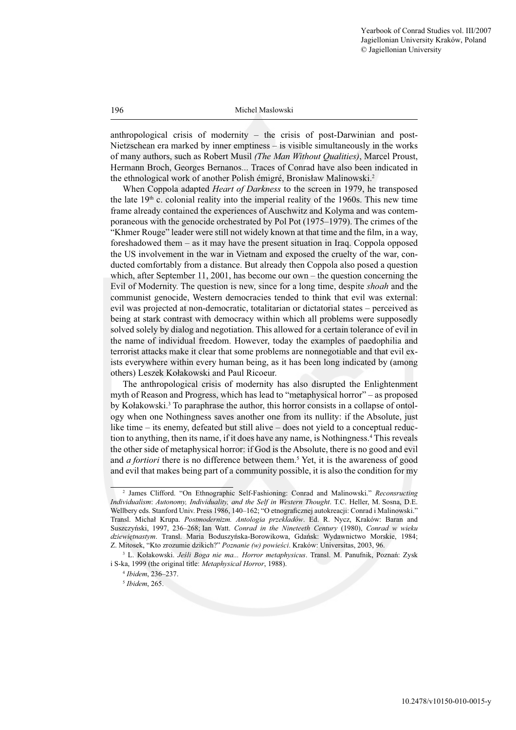anthropological crisis of modernity – the crisis of post-Darwinian and post-Nietzschean era marked by inner emptiness – is visible simultaneously in the works of many authors, such as Robert Musil *(The Man Without Qualities)*, Marcel Proust, Hermann Broch, Georges Bernanos... Traces of Conrad have also been indicated in the ethnological work of another Polish émigré, Bronisław Malinowski.2

When Coppola adapted *Heart of Darkness* to the screen in 1979, he transposed the late  $19<sup>th</sup>$  c. colonial reality into the imperial reality of the 1960s. This new time frame already contained the experiences of Auschwitz and Kolyma and was contemporaneous with the genocide orchestrated by Pol Pot (1975–1979). The crimes of the "Khmer Rouge" leader were still not widely known at that time and the film, in a way, foreshadowed them – as it may have the present situation in Iraq. Coppola opposed the US involvement in the war in Vietnam and exposed the cruelty of the war, conducted comfortably from a distance. But already then Coppola also posed a question which, after September 11, 2001, has become our own – the question concerning the Evil of Modernity. The question is new, since for a long time, despite *shoah* and the communist genocide, Western democracies tended to think that evil was external: evil was projected at non-democratic, totalitarian or dictatorial states – perceived as being at stark contrast with democracy within which all problems were supposedly solved solely by dialog and negotiation. This allowed for a certain tolerance of evil in the name of individual freedom. However, today the examples of paedophilia and terrorist attacks make it clear that some problems are nonnegotiable and that evil exists everywhere within every human being, as it has been long indicated by (among others) Leszek Kołakowski and Paul Ricoeur.

The anthropological crisis of modernity has also disrupted the Enlightenment myth of Reason and Progress, which has lead to "metaphysical horror" – as proposed by Kołakowski.<sup>3</sup> To paraphrase the author, this horror consists in a collapse of ontology when one Nothingness saves another one from its nullity: if the Absolute, just like time – its enemy, defeated but still alive – does not yield to a conceptual reduction to anything, then its name, if it does have any name, is Nothingness.<sup>4</sup> This reveals the other side of metaphysical horror: if God is the Absolute, there is no good and evil and *a fortiori* there is no difference between them.<sup>5</sup> Yet, it is the awareness of good and evil that makes being part of a community possible, it is also the condition for my

<sup>2</sup> James Clifford. "On Ethnographic Self-Fashioning: Conrad and Malinowski." *Reconsructing Individualism*: *Autonomy, Individuality, and the Self in Western Thought*. T.C. Heller, M. Sosna, D.E. Wellbery eds. Stanford Univ. Press 1986, 140–162; "O etnograficznej autokreacji: Conrad i Malinowski." Transl. Michał Krupa. *Postmodernizm. Antologia przekładów*. Ed. R. Nycz, Kraków: Baran and Suszczyński, 1997, 236–268; Ian Watt. *Conrad in the Nineteeth Century* (1980), *Conrad w wieku dziewiętnastym*. Transl. Maria Boduszyńska-Borowikowa, Gdańsk: Wydawnictwo Morskie, 1984; Z. Mitosek, "Kto zrozumie dzikich?" *Poznanie (w) powieści*. Kraków: Universitas, 2003, 96.

<sup>3</sup> L. Kołakowski. *Jeśli Boga nie ma... Horror metaphysicus*. Transl. M. Panufnik, Poznań: Zysk i S-ka, 1999 (the original title: *Metaphysical Horror*, 1988).

<sup>4</sup> *Ibidem*, 236–237.

<sup>5</sup> *Ibidem*, 265.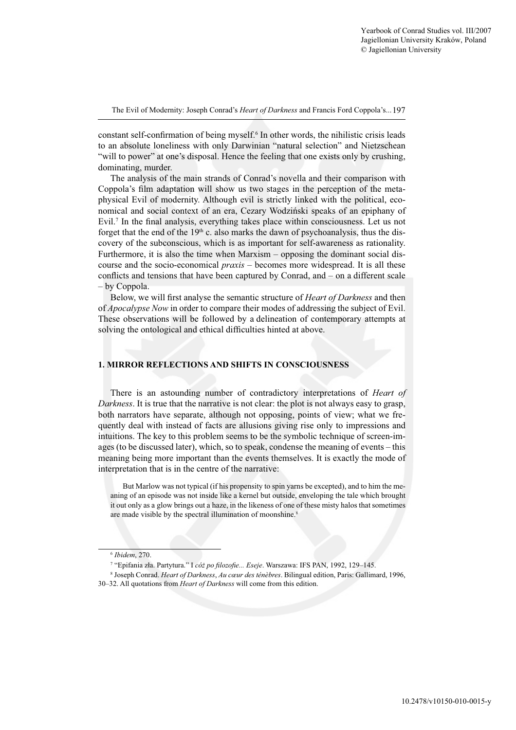constant self-confirmation of being myself.<sup>6</sup> In other words, the nihilistic crisis leads to an absolute loneliness with only Darwinian "natural selection" and Nietzschean "will to power" at one's disposal. Hence the feeling that one exists only by crushing, dominating, murder.

The analysis of the main strands of Conrad's novella and their comparison with Coppola's film adaptation will show us two stages in the perception of the metaphysical Evil of modernity. Although evil is strictly linked with the political, economical and social context of an era, Cezary Wodziński speaks of an epiphany of Evil.<sup>7</sup> In the final analysis, everything takes place within consciousness. Let us not forget that the end of the  $19<sup>th</sup>$  c. also marks the dawn of psychoanalysis, thus the discovery of the subconscious, which is as important for self-awareness as rationality. Furthermore, it is also the time when Marxism – opposing the dominant social discourse and the socio-economical *praxis* – becomes more widespread. It is all these conflicts and tensions that have been captured by Conrad, and  $-$  on a different scale – by Coppola.

Below, we will first analyse the semantic structure of *Heart of Darkness* and then of *Apocalypse Now* in order to compare their modes of addressing the subject of Evil. These observations will be followed by a delineation of contemporary attempts at solving the ontological and ethical difficulties hinted at above.

# **1. MIRROR REFLECTIONS AND SHIFTS IN CONSCIOUSNESS**

There is an astounding number of contradictory interpretations of *Heart of Darkness*. It is true that the narrative is not clear: the plot is not always easy to grasp, both narrators have separate, although not opposing, points of view; what we frequently deal with instead of facts are allusions giving rise only to impressions and intuitions. The key to this problem seems to be the symbolic technique of screen-images (to be discussed later), which, so to speak, condense the meaning of events – this meaning being more important than the events themselves. It is exactly the mode of interpretation that is in the centre of the narrative:

But Marlow was not typical (if his propensity to spin yarns be excepted), and to him the meaning of an episode was not inside like a kernel but outside, enveloping the tale which brought it out only as a glow brings out a haze, in the likeness of one of these misty halos that sometimes are made visible by the spectral illumination of moonshine.<sup>8</sup>

<sup>6</sup> *Ibidem*, 270.

<sup>&</sup>lt;sup>7</sup> "Epifania zła. Partytura." I *cóż po filozofie... Eseje*. Warszawa: IFS PAN, 1992, 129-145.

<sup>8</sup> Joseph Conrad. *Heart of Darkness*, *Au cœur des ténèbres*. Bilingual edition, Paris: Gallimard, 1996, 30–32. All quotations from *Heart of Darkness* will come from this edition.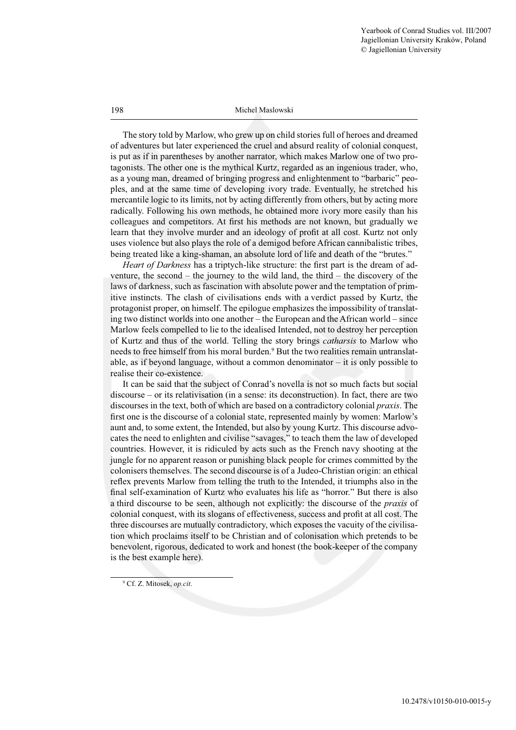The story told by Marlow, who grew up on child stories full of heroes and dreamed of adventures but later experienced the cruel and absurd reality of colonial conquest, is put as if in parentheses by another narrator, which makes Marlow one of two protagonists. The other one is the mythical Kurtz, regarded as an ingenious trader, who, as a young man, dreamed of bringing progress and enlightenment to "barbaric" peoples, and at the same time of developing ivory trade. Eventually, he stretched his mercantile logic to its limits, not by acting differently from others, but by acting more radically. Following his own methods, he obtained more ivory more easily than his colleagues and competitors. At first his methods are not known, but gradually we learn that they involve murder and an ideology of profit at all cost. Kurtz not only uses violence but also plays the role of a demigod before African cannibalistic tribes, being treated like a king-shaman, an absolute lord of life and death of the "brutes."

*Heart of Darkness* has a triptych-like structure: the first part is the dream of adventure, the second – the journey to the wild land, the third – the discovery of the laws of darkness, such as fascination with absolute power and the temptation of primitive instincts. The clash of civilisations ends with a verdict passed by Kurtz, the protagonist proper, on himself. The epilogue emphasizes the impossibility of translating two distinct worlds into one another – the European and the African world – since Marlow feels compelled to lie to the idealised Intended, not to destroy her perception of Kurtz and thus of the world. Telling the story brings *catharsis* to Marlow who needs to free himself from his moral burden.<sup>9</sup> But the two realities remain untranslatable, as if beyond language, without a common denominator – it is only possible to realise their co-existence.

It can be said that the subject of Conrad's novella is not so much facts but social discourse – or its relativisation (in a sense: its deconstruction). In fact, there are two discourses in the text, both of which are based on a contradictory colonial *praxis*. The first one is the discourse of a colonial state, represented mainly by women: Marlow's aunt and, to some extent, the Intended, but also by young Kurtz. This discourse advocates the need to enlighten and civilise "savages," to teach them the law of developed countries. However, it is ridiculed by acts such as the French navy shooting at the jungle for no apparent reason or punishing black people for crimes committed by the colonisers themselves. The second discourse is of a Judeo-Christian origin: an ethical reflex prevents Marlow from telling the truth to the Intended, it triumphs also in the final self-examination of Kurtz who evaluates his life as "horror." But there is also a third discourse to be seen, although not explicitly: the discourse of the *praxis* of colonial conquest, with its slogans of effectiveness, success and profi t at all cost. The three discourses are mutually contradictory, which exposes the vacuity of the civilisation which proclaims itself to be Christian and of colonisation which pretends to be benevolent, rigorous, dedicated to work and honest (the book-keeper of the company is the best example here).

<sup>9</sup> Cf. Z. Mitosek, *op.cit*.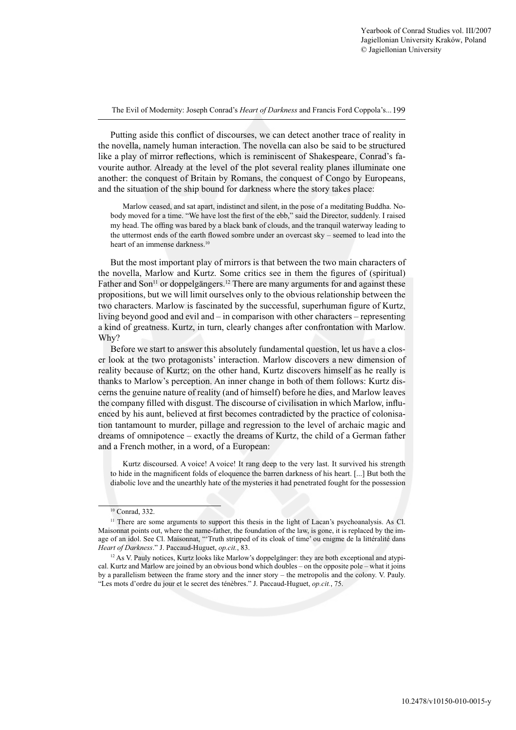Putting aside this conflict of discourses, we can detect another trace of reality in the novella, namely human interaction. The novella can also be said to be structured like a play of mirror reflections, which is reminiscent of Shakespeare, Conrad's favourite author. Already at the level of the plot several reality planes illuminate one another: the conquest of Britain by Romans, the conquest of Congo by Europeans, and the situation of the ship bound for darkness where the story takes place:

Marlow ceased, and sat apart, indistinct and silent, in the pose of a meditating Buddha. Nobody moved for a time. "We have lost the first of the ebb," said the Director, suddenly. I raised my head. The offing was bared by a black bank of clouds, and the tranquil waterway leading to the uttermost ends of the earth flowed sombre under an overcast sky – seemed to lead into the heart of an immense darkness.<sup>10</sup>

But the most important play of mirrors is that between the two main characters of the novella, Marlow and Kurtz. Some critics see in them the figures of (spiritual) Father and Son<sup>11</sup> or doppelgängers.<sup>12</sup> There are many arguments for and against these propositions, but we will limit ourselves only to the obvious relationship between the two characters. Marlow is fascinated by the successful, superhuman figure of Kurtz, living beyond good and evil and – in comparison with other characters – representing a kind of greatness. Kurtz, in turn, clearly changes after confrontation with Marlow. Why?

Before we start to answer this absolutely fundamental question, let us have a closer look at the two protagonists' interaction. Marlow discovers a new dimension of reality because of Kurtz; on the other hand, Kurtz discovers himself as he really is thanks to Marlow's perception. An inner change in both of them follows: Kurtz discerns the genuine nature of reality (and of himself) before he dies, and Marlow leaves the company filled with disgust. The discourse of civilisation in which Marlow, influenced by his aunt, believed at first becomes contradicted by the practice of colonisation tantamount to murder, pillage and regression to the level of archaic magic and dreams of omnipotence – exactly the dreams of Kurtz, the child of a German father and a French mother, in a word, of a European:

Kurtz discoursed. A voice! A voice! It rang deep to the very last. It survived his strength to hide in the magnificent folds of eloquence the barren darkness of his heart. [...] But both the diabolic love and the unearthly hate of the mysteries it had penetrated fought for the possession

<sup>10</sup> Conrad, 332.

<sup>&</sup>lt;sup>11</sup> There are some arguments to support this thesis in the light of Lacan's psychoanalysis. As Cl. Maisonnat points out, where the name-father, the foundation of the law, is gone, it is replaced by the image of an idol. See Cl. Maisonnat, "'Truth stripped of its cloak of time' ou enigme de la littéralité dans *Heart of Darkness*." J. Paccaud-Huguet, *op.cit.*, 83.

<sup>&</sup>lt;sup>12</sup> As V. Pauly notices, Kurtz looks like Marlow's doppelgänger: they are both exceptional and atypical. Kurtz and Marlow are joined by an obvious bond which doubles – on the opposite pole – what it joins by a parallelism between the frame story and the inner story – the metropolis and the colony. V. Pauly. "Les mots d'ordre du jour et le secret des ténèbres." J. Paccaud-Huguet, *op.cit.*, 75.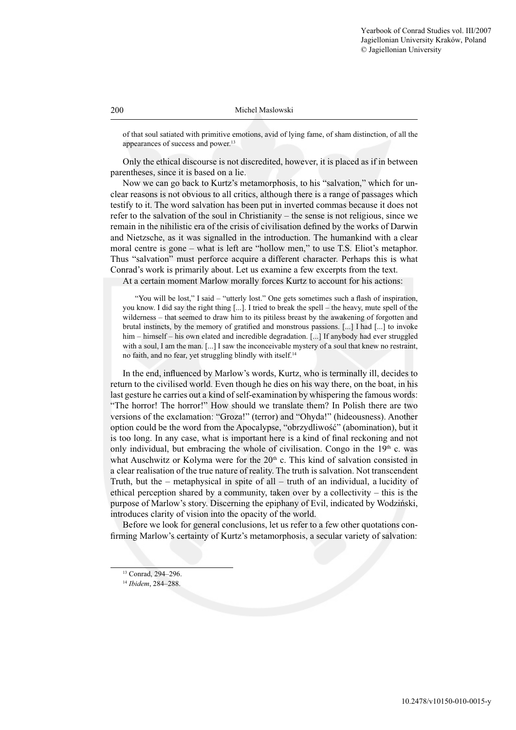of that soul satiated with primitive emotions, avid of lying fame, of sham distinction, of all the appearances of success and power.<sup>13</sup>

Only the ethical discourse is not discredited, however, it is placed as if in between parentheses, since it is based on a lie.

Now we can go back to Kurtz's metamorphosis, to his "salvation," which for unclear reasons is not obvious to all critics, although there is a range of passages which testify to it. The word salvation has been put in inverted commas because it does not refer to the salvation of the soul in Christianity – the sense is not religious, since we remain in the nihilistic era of the crisis of civilisation defined by the works of Darwin and Nietzsche, as it was signalled in the introduction. The humankind with a clear moral centre is gone – what is left are "hollow men," to use T.S. Eliot's metaphor. Thus "salvation" must perforce acquire a different character. Perhaps this is what Conrad's work is primarily about. Let us examine a few excerpts from the text.

At a certain moment Marlow morally forces Kurtz to account for his actions:

"You will be lost," I said – "utterly lost." One gets sometimes such a flash of inspiration, you know. I did say the right thing [...]. I tried to break the spell – the heavy, mute spell of the wilderness – that seemed to draw him to its pitiless breast by the awakening of forgotten and brutal instincts, by the memory of gratified and monstrous passions. [...] I had [...] to invoke him – himself – his own elated and incredible degradation. [...] If anybody had ever struggled with a soul, I am the man. [...] I saw the inconceivable mystery of a soul that knew no restraint, no faith, and no fear, yet struggling blindly with itself.14

In the end, influenced by Marlow's words, Kurtz, who is terminally ill, decides to return to the civilised world. Even though he dies on his way there, on the boat, in his last gesture he carries out a kind of self-examination by whispering the famous words: "The horror! The horror!" How should we translate them? In Polish there are two versions of the exclamation: "Groza!" (terror) and "Ohyda!" (hideousness). Another option could be the word from the Apocalypse, "obrzydliwość" (abomination), but it is too long. In any case, what is important here is a kind of final reckoning and not only individual, but embracing the whole of civilisation. Congo in the  $19<sup>th</sup>$  c. was what Auschwitz or Kolyma were for the 20<sup>th</sup> c. This kind of salvation consisted in a clear realisation of the true nature of reality. The truth is salvation. Not transcendent Truth, but the – metaphysical in spite of all – truth of an individual, a lucidity of ethical perception shared by a community, taken over by a collectivity – this is the purpose of Marlow's story. Discerning the epiphany of Evil, indicated by Wodziński, introduces clarity of vision into the opacity of the world.

Before we look for general conclusions, let us refer to a few other quotations confirming Marlow's certainty of Kurtz's metamorphosis, a secular variety of salvation:

<sup>13</sup> Conrad, 294–296.

<sup>14</sup> *Ibidem*, 284–288.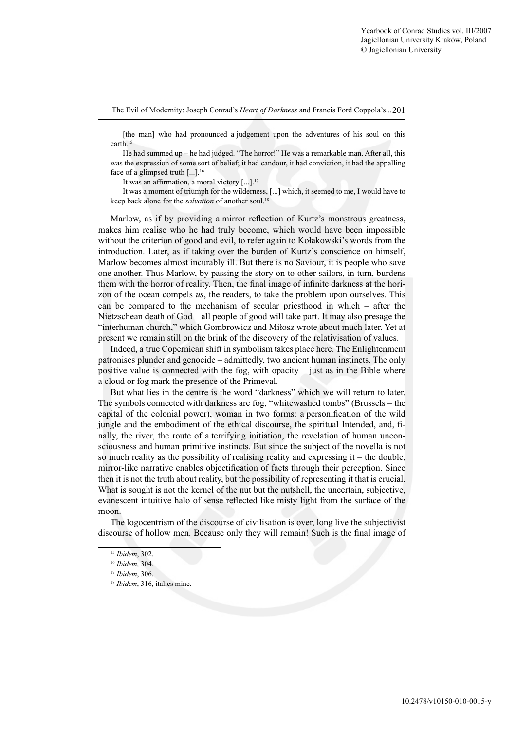[the man] who had pronounced a judgement upon the adventures of his soul on this earth.<sup>15</sup>

He had summed up – he had judged. "The horror!" He was a remarkable man. After all, this was the expression of some sort of belief; it had candour, it had conviction, it had the appalling face of a glimpsed truth  $[\dots]$ <sup>16</sup>

It was an affirmation, a moral victory  $[...]$ .<sup>17</sup>

It was a moment of triumph for the wilderness, [...] which, it seemed to me, I would have to keep back alone for the *salvation* of another soul.<sup>18</sup>

Marlow, as if by providing a mirror reflection of Kurtz's monstrous greatness, makes him realise who he had truly become, which would have been impossible without the criterion of good and evil, to refer again to Kołakowski's words from the introduction. Later, as if taking over the burden of Kurtz's conscience on himself, Marlow becomes almost incurably ill. But there is no Saviour, it is people who save one another. Thus Marlow, by passing the story on to other sailors, in turn, burdens them with the horror of reality. Then, the final image of infinite darkness at the horizon of the ocean compels *us*, the readers, to take the problem upon ourselves. This can be compared to the mechanism of secular priesthood in which – after the Nietzschean death of God – all people of good will take part. It may also presage the "interhuman church," which Gombrowicz and Miłosz wrote about much later. Yet at present we remain still on the brink of the discovery of the relativisation of values.

Indeed, a true Copernican shift in symbolism takes place here. The Enlightenment patronises plunder and genocide – admittedly, two ancient human instincts. The only positive value is connected with the fog, with opacity – just as in the Bible where a cloud or fog mark the presence of the Primeval.

But what lies in the centre is the word "darkness" which we will return to later. The symbols connected with darkness are fog, "whitewashed tombs" (Brussels – the capital of the colonial power), woman in two forms: a personification of the wild jungle and the embodiment of the ethical discourse, the spiritual Intended, and, finally, the river, the route of a terrifying initiation, the revelation of human unconsciousness and human primitive instincts. But since the subject of the novella is not so much reality as the possibility of realising reality and expressing  $it$  – the double, mirror-like narrative enables objectification of facts through their perception. Since then it is not the truth about reality, but the possibility of representing it that is crucial. What is sought is not the kernel of the nut but the nutshell, the uncertain, subjective, evanescent intuitive halo of sense reflected like misty light from the surface of the moon.

The logocentrism of the discourse of civilisation is over, long live the subjectivist discourse of hollow men. Because only they will remain! Such is the final image of

<sup>15</sup> *Ibidem*, 302.

<sup>16</sup> *Ibidem*, 304.

<sup>17</sup> *Ibidem*, 306.

<sup>&</sup>lt;sup>18</sup> *Ibidem*, 316, italics mine.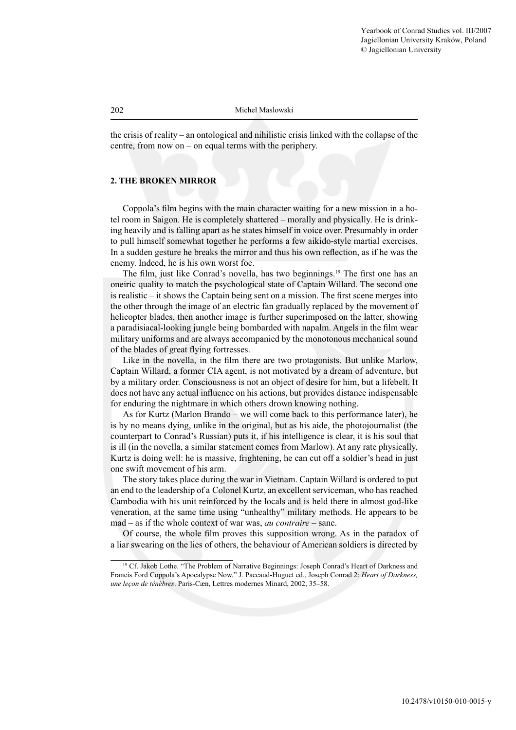the crisis of reality – an ontological and nihilistic crisis linked with the collapse of the centre, from now on – on equal terms with the periphery.

# **2. THE BROKEN MIRROR**

Coppola's film begins with the main character waiting for a new mission in a hotel room in Saigon. He is completely shattered – morally and physically. He is drinking heavily and is falling apart as he states himself in voice over. Presumably in order to pull himself somewhat together he performs a few aikido-style martial exercises. In a sudden gesture he breaks the mirror and thus his own reflection, as if he was the enemy. Indeed, he is his own worst foe.

The film, just like Conrad's novella, has two beginnings.<sup>19</sup> The first one has an oneiric quality to match the psychological state of Captain Willard. The second one is realistic – it shows the Captain being sent on a mission. The first scene merges into the other through the image of an electric fan gradually replaced by the movement of helicopter blades, then another image is further superimposed on the latter, showing a paradisiacal-looking jungle being bombarded with napalm. Angels in the film wear military uniforms and are always accompanied by the monotonous mechanical sound of the blades of great flying fortresses.

Like in the novella, in the film there are two protagonists. But unlike Marlow, Captain Willard, a former CIA agent, is not motivated by a dream of adventure, but by a military order. Consciousness is not an object of desire for him, but a lifebelt. It does not have any actual influence on his actions, but provides distance indispensable for enduring the nightmare in which others drown knowing nothing.

As for Kurtz (Marlon Brando – we will come back to this performance later), he is by no means dying, unlike in the original, but as his aide, the photojournalist (the counterpart to Conrad's Russian) puts it, if his intelligence is clear, it is his soul that is ill (in the novella, a similar statement comes from Marlow). At any rate physically, Kurtz is doing well: he is massive, frightening, he can cut off a soldier's head in just one swift movement of his arm.

The story takes place during the war in Vietnam. Captain Willard is ordered to put an end to the leadership of a Colonel Kurtz, an excellent serviceman, who has reached Cambodia with his unit reinforced by the locals and is held there in almost god-like veneration, at the same time using "unhealthy" military methods. He appears to be mad – as if the whole context of war was, *au contraire* – sane.

Of course, the whole film proves this supposition wrong. As in the paradox of a liar swearing on the lies of others, the behaviour of American soldiers is directed by

<sup>&</sup>lt;sup>19</sup> Cf. Jakob Lothe. "The Problem of Narrative Beginnings: Joseph Conrad's Heart of Darkness and Francis Ford Coppola's Apocalypse Now." J. Paccaud-Huguet ed., Joseph Conrad 2: *Heart of Darkness, une leçon de ténèbres*. Paris-Cæn, Lettres modernes Minard, 2002, 35–58.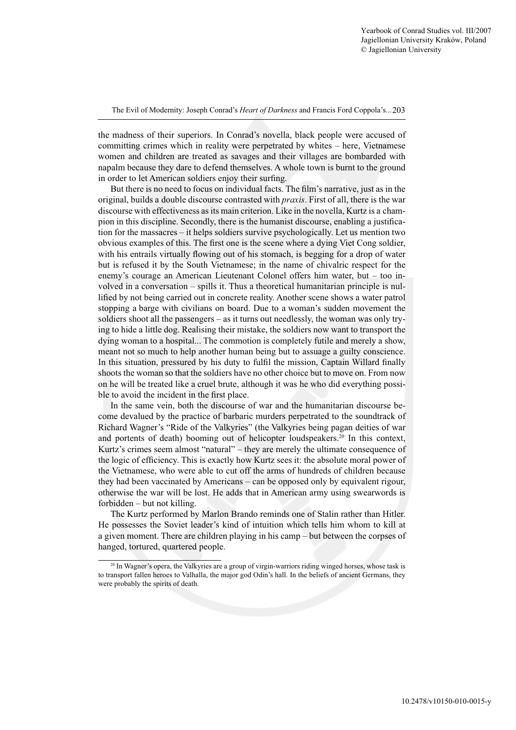the madness of their superiors. In Conrad's novella, black people were accused of committing crimes which in reality were perpetrated by whites – here, Vietnamese women and children are treated as savages and their villages are bombarded with napalm because they dare to defend themselves. A whole town is burnt to the ground in order to let American soldiers enjoy their surfing.

But there is no need to focus on individual facts. The film's narrative, just as in the original, builds a double discourse contrasted with *praxis*. First of all, there is the war discourse with effectiveness as its main criterion. Like in the novella, Kurtz is a champion in this discipline. Secondly, there is the humanist discourse, enabling a justification for the massacres – it helps soldiers survive psychologically. Let us mention two obvious examples of this. The first one is the scene where a dying Viet Cong soldier, with his entrails virtually flowing out of his stomach, is begging for a drop of water but is refused it by the South Vietnamese; in the name of chivalric respect for the enemy's courage an American Lieutenant Colonel offers him water, but – too involved in a conversation – spills it. Thus a theoretical humanitarian principle is nullified by not being carried out in concrete reality. Another scene shows a water patrol stopping a barge with civilians on board. Due to a woman's sudden movement the soldiers shoot all the passengers – as it turns out needlessly, the woman was only trying to hide a little dog. Realising their mistake, the soldiers now want to transport the dying woman to a hospital... The commotion is completely futile and merely a show, meant not so much to help another human being but to assuage a guilty conscience. In this situation, pressured by his duty to fulfil the mission, Captain Willard finally shoots the woman so that the soldiers have no other choice but to move on. From now on he will be treated like a cruel brute, although it was he who did everything possible to avoid the incident in the first place.

In the same vein, both the discourse of war and the humanitarian discourse become devalued by the practice of barbaric murders perpetrated to the soundtrack of Richard Wagner's "Ride of the Valkyries" (the Valkyries being pagan deities of war and portents of death) booming out of helicopter loudspeakers.20 In this context, Kurtz's crimes seem almost "natural" – they are merely the ultimate consequence of the logic of efficiency. This is exactly how Kurtz sees it: the absolute moral power of the Vietnamese, who were able to cut off the arms of hundreds of children because they had been vaccinated by Americans – can be opposed only by equivalent rigour, otherwise the war will be lost. He adds that in American army using swearwords is forbidden – but not killing.

The Kurtz performed by Marlon Brando reminds one of Stalin rather than Hitler. He possesses the Soviet leader's kind of intuition which tells him whom to kill at a given moment. There are children playing in his camp – but between the corpses of hanged, tortured, quartered people.

<sup>&</sup>lt;sup>20</sup> In Wagner's opera, the Valkyries are a group of virgin-warriors riding winged horses, whose task is to transport fallen heroes to Valhalla, the major god Odin's hall. In the beliefs of ancient Germans, they were probably the spirits of death.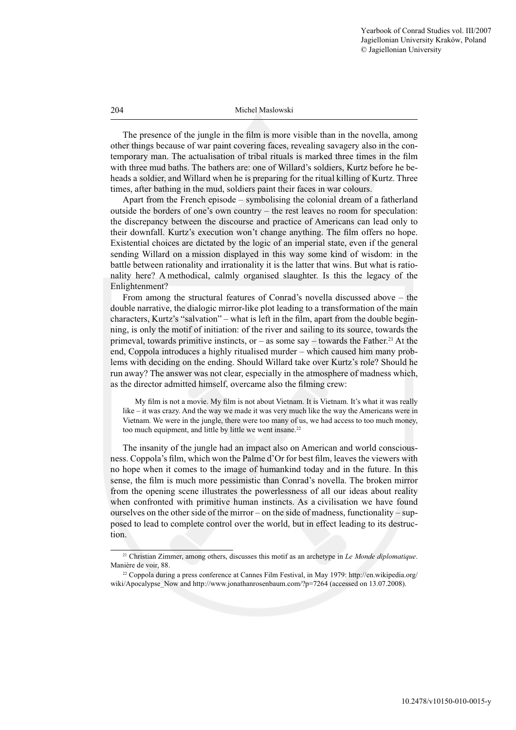The presence of the jungle in the film is more visible than in the novella, among other things because of war paint covering faces, revealing savagery also in the contemporary man. The actualisation of tribal rituals is marked three times in the film with three mud baths. The bathers are: one of Willard's soldiers, Kurtz before he beheads a soldier, and Willard when he is preparing for the ritual killing of Kurtz. Three times, after bathing in the mud, soldiers paint their faces in war colours.

Apart from the French episode – symbolising the colonial dream of a fatherland outside the borders of one's own country – the rest leaves no room for speculation: the discrepancy between the discourse and practice of Americans can lead only to their downfall. Kurtz's execution won't change anything. The film offers no hope. Existential choices are dictated by the logic of an imperial state, even if the general sending Willard on a mission displayed in this way some kind of wisdom: in the battle between rationality and irrationality it is the latter that wins. But what is rationality here? A methodical, calmly organised slaughter. Is this the legacy of the Enlightenment?

From among the structural features of Conrad's novella discussed above – the double narrative, the dialogic mirror-like plot leading to a transformation of the main characters, Kurtz's "salvation" – what is left in the film, apart from the double beginning, is only the motif of initiation: of the river and sailing to its source, towards the primeval, towards primitive instincts, or – as some say – towards the Father.<sup>21</sup> At the end, Coppola introduces a highly ritualised murder – which caused him many problems with deciding on the ending. Should Willard take over Kurtz's role? Should he run away? The answer was not clear, especially in the atmosphere of madness which, as the director admitted himself, overcame also the filming crew:

My film is not a movie. My film is not about Vietnam. It is Vietnam. It's what it was really like – it was crazy. And the way we made it was very much like the way the Americans were in Vietnam. We were in the jungle, there were too many of us, we had access to too much money, too much equipment, and little by little we went insane.<sup>22</sup>

The insanity of the jungle had an impact also on American and world consciousness. Coppola's film, which won the Palme d'Or for best film, leaves the viewers with no hope when it comes to the image of humankind today and in the future. In this sense, the film is much more pessimistic than Conrad's novella. The broken mirror from the opening scene illustrates the powerlessness of all our ideas about reality when confronted with primitive human instincts. As a civilisation we have found ourselves on the other side of the mirror – on the side of madness, functionality – supposed to lead to complete control over the world, but in effect leading to its destruction.

<sup>21</sup> Christian Zimmer, among others, discusses this motif as an archetype in *Le Monde diplomatique*. Manière de voir, 88.

<sup>22</sup> Coppola during a press conference at Cannes Film Festival, in May 1979: http://en.wikipedia.org/ wiki/Apocalypse\_Now and http://www.jonathanrosenbaum.com/?p=7264 (accessed on 13.07.2008).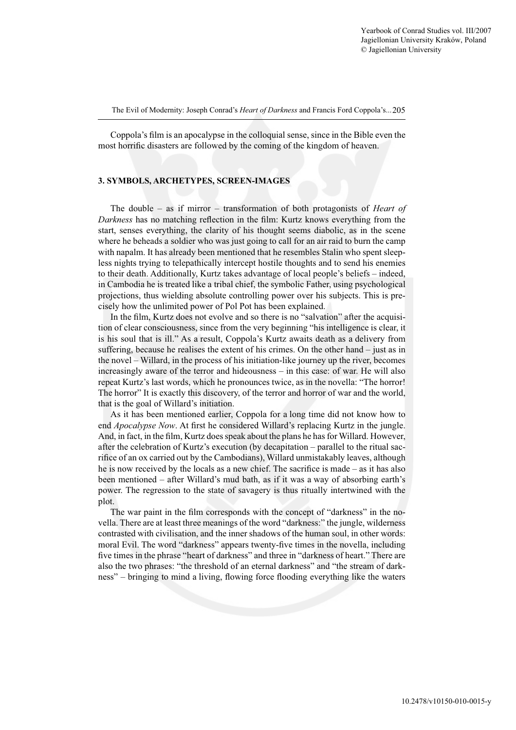Coppola's film is an apocalypse in the colloquial sense, since in the Bible even the most horrific disasters are followed by the coming of the kingdom of heaven.

## **3. SYMBOLS, ARCHETYPES, SCREEN-IMAGES**

The double – as if mirror – transformation of both protagonists of *Heart of Darkness* has no matching reflection in the film: Kurtz knows everything from the start, senses everything, the clarity of his thought seems diabolic, as in the scene where he beheads a soldier who was just going to call for an air raid to burn the camp with napalm. It has already been mentioned that he resembles Stalin who spent sleepless nights trying to telepathically intercept hostile thoughts and to send his enemies to their death. Additionally, Kurtz takes advantage of local people's beliefs – indeed, in Cambodia he is treated like a tribal chief, the symbolic Father, using psychological projections, thus wielding absolute controlling power over his subjects. This is precisely how the unlimited power of Pol Pot has been explained.

In the film, Kurtz does not evolve and so there is no "salvation" after the acquisition of clear consciousness, since from the very beginning "his intelligence is clear, it is his soul that is ill." As a result, Coppola's Kurtz awaits death as a delivery from suffering, because he realises the extent of his crimes. On the other hand – just as in the novel – Willard, in the process of his initiation-like journey up the river, becomes increasingly aware of the terror and hideousness – in this case: of war. He will also repeat Kurtz's last words, which he pronounces twice, as in the novella: "The horror! The horror" It is exactly this discovery, of the terror and horror of war and the world, that is the goal of Willard's initiation.

As it has been mentioned earlier, Coppola for a long time did not know how to end *Apocalypse Now*. At first he considered Willard's replacing Kurtz in the jungle. And, in fact, in the film, Kurtz does speak about the plans he has for Willard. However, after the celebration of Kurtz's execution (by decapitation – parallel to the ritual sacrifice of an ox carried out by the Cambodians), Willard unmistakably leaves, although he is now received by the locals as a new chief. The sacrifice is made – as it has also been mentioned – after Willard's mud bath, as if it was a way of absorbing earth's power. The regression to the state of savagery is thus ritually intertwined with the plot.

The war paint in the film corresponds with the concept of "darkness" in the novella. There are at least three meanings of the word "darkness:" the jungle, wilderness contrasted with civilisation, and the inner shadows of the human soul, in other words: moral Evil. The word "darkness" appears twenty-five times in the novella, including five times in the phrase "heart of darkness" and three in "darkness of heart." There are also the two phrases: "the threshold of an eternal darkness" and "the stream of darkness" – bringing to mind a living, flowing force flooding everything like the waters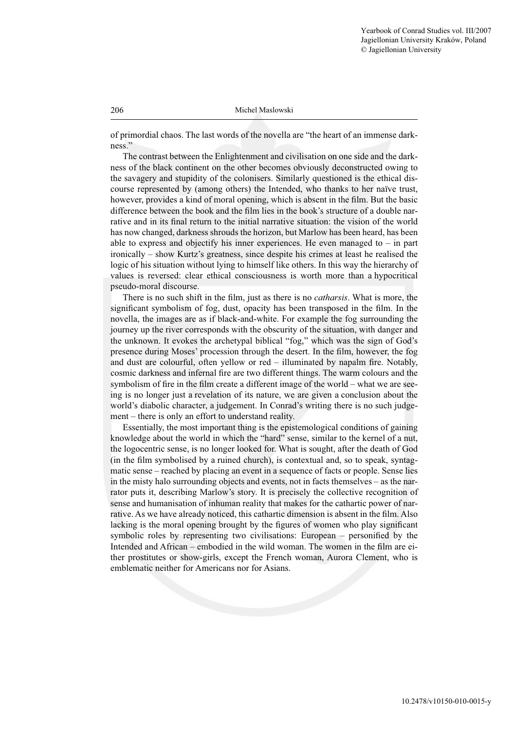of primordial chaos. The last words of the novella are "the heart of an immense darkness."

The contrast between the Enlightenment and civilisation on one side and the darkness of the black continent on the other becomes obviously deconstructed owing to the savagery and stupidity of the colonisers. Similarly questioned is the ethical discourse represented by (among others) the Intended, who thanks to her naïve trust, however, provides a kind of moral opening, which is absent in the film. But the basic difference between the book and the film lies in the book's structure of a double narrative and in its final return to the initial narrative situation: the vision of the world has now changed, darkness shrouds the horizon, but Marlow has been heard, has been able to express and objectify his inner experiences. He even managed to  $-$  in part ironically – show Kurtz's greatness, since despite his crimes at least he realised the logic of his situation without lying to himself like others. In this way the hierarchy of values is reversed: clear ethical consciousness is worth more than a hypocritical pseudo-moral discourse.

There is no such shift in the film, just as there is no *catharsis*. What is more, the significant symbolism of fog, dust, opacity has been transposed in the film. In the novella, the images are as if black-and-white. For example the fog surrounding the journey up the river corresponds with the obscurity of the situation, with danger and the unknown. It evokes the archetypal biblical "fog," which was the sign of God's presence during Moses' procession through the desert. In the film, however, the fog and dust are colourful, often yellow or  $red$  – illuminated by napalm fire. Notably, cosmic darkness and infernal fire are two different things. The warm colours and the symbolism of fire in the film create a different image of the world – what we are seeing is no longer just a revelation of its nature, we are given a conclusion about the world's diabolic character, a judgement. In Conrad's writing there is no such judgement – there is only an effort to understand reality.

Essentially, the most important thing is the epistemological conditions of gaining knowledge about the world in which the "hard" sense, similar to the kernel of a nut, the logocentric sense, is no longer looked for. What is sought, after the death of God (in the film symbolised by a ruined church), is contextual and, so to speak, syntagmatic sense – reached by placing an event in a sequence of facts or people. Sense lies in the misty halo surrounding objects and events, not in facts themselves – as the narrator puts it, describing Marlow's story. It is precisely the collective recognition of sense and humanisation of inhuman reality that makes for the cathartic power of narrative. As we have already noticed, this cathartic dimension is absent in the film. Also lacking is the moral opening brought by the figures of women who play significant symbolic roles by representing two civilisations: European  $-$  personified by the Intended and African – embodied in the wild woman. The women in the film are either prostitutes or show-girls, except the French woman, Aurora Clement, who is emblematic neither for Americans nor for Asians.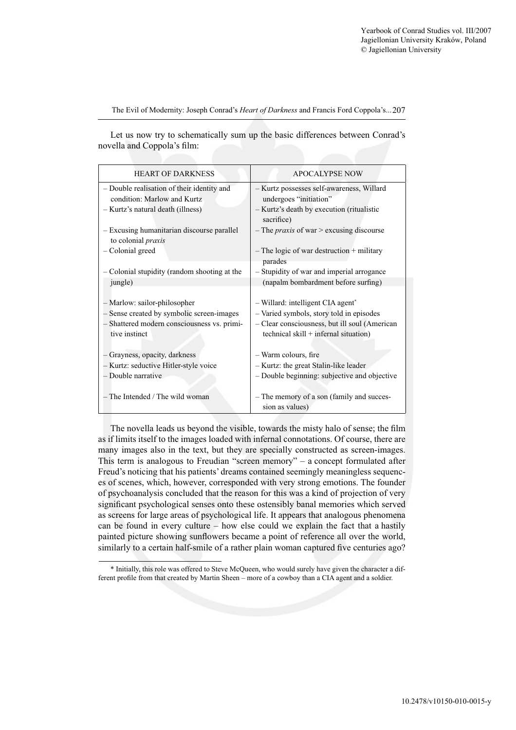Let us now try to schematically sum up the basic differences between Conrad's novella and Coppola's film:

| <b>HEART OF DARKNESS</b>                                                | <b>APOCALYPSE NOW</b>                                        |
|-------------------------------------------------------------------------|--------------------------------------------------------------|
| - Double realisation of their identity and                              | - Kurtz possesses self-awareness, Willard                    |
| condition: Marlow and Kurtz                                             | undergoes "initiation"                                       |
| - Kurtz's natural death (illness)                                       | - Kurtz's death by execution (ritualistic<br>sacrifice)      |
| - Excusing humanitarian discourse parallel<br>to colonial <i>praxis</i> | $-$ The <i>praxis</i> of war $>$ excusing discourse          |
| - Colonial greed                                                        | $-$ The logic of war destruction $+$ military<br>parades     |
| - Colonial stupidity (random shooting at the                            | - Stupidity of war and imperial arrogance                    |
| jungle)                                                                 | (napalm bombardment before surfing)                          |
|                                                                         |                                                              |
| - Marlow: sailor-philosopher                                            | - Willard: intelligent CIA agent*                            |
| - Sense created by symbolic screen-images                               | - Varied symbols, story told in episodes                     |
| - Shattered modern consciousness vs. primi-                             | - Clear consciousness, but ill soul (American                |
| tive instinct                                                           | technical skill $+$ infernal situation)                      |
|                                                                         |                                                              |
| - Grayness, opacity, darkness                                           | - Warm colours, fire                                         |
| - Kurtz: seductive Hitler-style voice                                   | - Kurtz: the great Stalin-like leader                        |
| - Double narrative                                                      | - Double beginning: subjective and objective                 |
|                                                                         |                                                              |
| - The Intended / The wild woman                                         | - The memory of a son (family and succes-<br>sion as values) |
|                                                                         |                                                              |

The novella leads us beyond the visible, towards the misty halo of sense; the film as if limits itself to the images loaded with infernal connotations. Of course, there are many images also in the text, but they are specially constructed as screen-images. This term is analogous to Freudian "screen memory" – a concept formulated after Freud's noticing that his patients' dreams contained seemingly meaningless sequences of scenes, which, however, corresponded with very strong emotions. The founder of psychoanalysis concluded that the reason for this was a kind of projection of very significant psychological senses onto these ostensibly banal memories which served as screens for large areas of psychological life. It appears that analogous phenomena can be found in every culture – how else could we explain the fact that a hastily painted picture showing sunflowers became a point of reference all over the world, similarly to a certain half-smile of a rather plain woman captured five centuries ago?

<sup>\*</sup> Initially, this role was offered to Steve McQueen, who would surely have given the character a different profile from that created by Martin Sheen – more of a cowboy than a CIA agent and a soldier.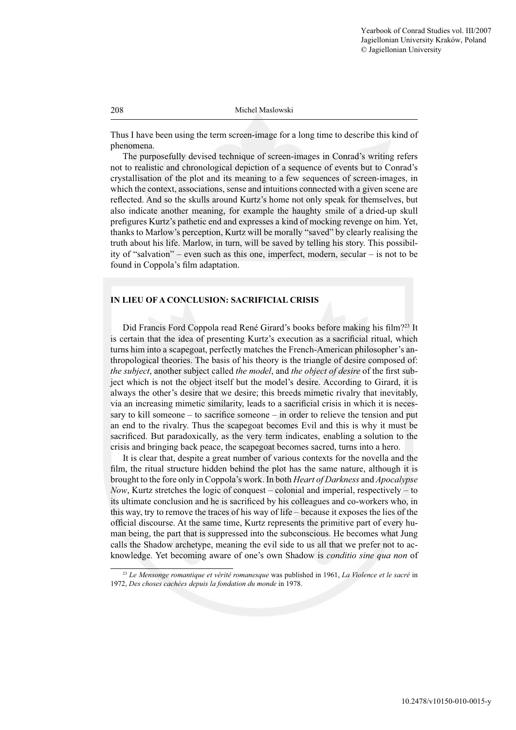Thus I have been using the term screen-image for a long time to describe this kind of phenomena.

The purposefully devised technique of screen-images in Conrad's writing refers not to realistic and chronological depiction of a sequence of events but to Conrad's crystallisation of the plot and its meaning to a few sequences of screen-images, in which the context, associations, sense and intuitions connected with a given scene are reflected. And so the skulls around Kurtz's home not only speak for themselves, but also indicate another meaning, for example the haughty smile of a dried-up skull prefi gures Kurtz's pathetic end and expresses a kind of mocking revenge on him. Yet, thanks to Marlow's perception, Kurtz will be morally "saved" by clearly realising the truth about his life. Marlow, in turn, will be saved by telling his story. This possibility of "salvation" – even such as this one, imperfect, modern, secular – is not to be found in Coppola's film adaptation.

# **IN LIEU OF A CONCLUSION: SACRIFICIAL CRISIS**

Did Francis Ford Coppola read René Girard's books before making his film?<sup>23</sup> It is certain that the idea of presenting Kurtz's execution as a sacrificial ritual, which turns him into a scapegoat, perfectly matches the French-American philosopher's anthropological theories. The basis of his theory is the triangle of desire composed of: *the subject*, another subject called *the model*, and *the object of desire* of the first subject which is not the object itself but the model's desire. According to Girard, it is always the other's desire that we desire; this breeds mimetic rivalry that inevitably, via an increasing mimetic similarity, leads to a sacrificial crisis in which it is necessary to kill someone – to sacrifice someone – in order to relieve the tension and put an end to the rivalry. Thus the scapegoat becomes Evil and this is why it must be sacrificed. But paradoxically, as the very term indicates, enabling a solution to the crisis and bringing back peace, the scapegoat becomes sacred, turns into a hero.

It is clear that, despite a great number of various contexts for the novella and the film, the ritual structure hidden behind the plot has the same nature, although it is brought to the fore only in Coppola's work. In both *Heart of Darkness* and *Apocalypse Now*, Kurtz stretches the logic of conquest – colonial and imperial, respectively – to its ultimate conclusion and he is sacrificed by his colleagues and co-workers who, in this way, try to remove the traces of his way of life – because it exposes the lies of the official discourse. At the same time, Kurtz represents the primitive part of every human being, the part that is suppressed into the subconscious. He becomes what Jung calls the Shadow archetype, meaning the evil side to us all that we prefer not to acknowledge. Yet becoming aware of one's own Shadow is *conditio sine qua non* of

<sup>23</sup> *Le Mensonge romantique et vérité romanesque* was published in 1961, *La Violence et le sacré* in 1972, *Des choses cachées depuis la fondation du monde* in 1978.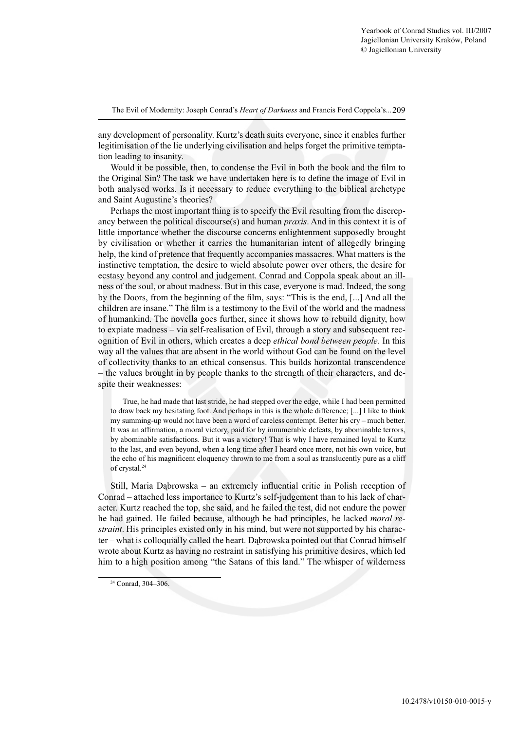any development of personality. Kurtz's death suits everyone, since it enables further legitimisation of the lie underlying civilisation and helps forget the primitive temptation leading to insanity.

Would it be possible, then, to condense the Evil in both the book and the film to the Original Sin? The task we have undertaken here is to define the image of Evil in both analysed works. Is it necessary to reduce everything to the biblical archetype and Saint Augustine's theories?

Perhaps the most important thing is to specify the Evil resulting from the discrepancy between the political discourse(s) and human *praxis*. And in this context it is of little importance whether the discourse concerns enlightenment supposedly brought by civilisation or whether it carries the humanitarian intent of allegedly bringing help, the kind of pretence that frequently accompanies massacres. What matters is the instinctive temptation, the desire to wield absolute power over others, the desire for ecstasy beyond any control and judgement. Conrad and Coppola speak about an illness of the soul, or about madness. But in this case, everyone is mad. Indeed, the song by the Doors, from the beginning of the film, says: "This is the end, [...] And all the children are insane." The film is a testimony to the Evil of the world and the madness of humankind. The novella goes further, since it shows how to rebuild dignity, how to expiate madness – via self-realisation of Evil, through a story and subsequent recognition of Evil in others, which creates a deep *ethical bond between people*. In this way all the values that are absent in the world without God can be found on the level of collectivity thanks to an ethical consensus. This builds horizontal transcendence – the values brought in by people thanks to the strength of their characters, and despite their weaknesses:

True, he had made that last stride, he had stepped over the edge, while I had been permitted to draw back my hesitating foot. And perhaps in this is the whole difference; [...] I like to think my summing-up would not have been a word of careless contempt. Better his cry – much better. It was an affirmation, a moral victory, paid for by innumerable defeats, by abominable terrors, by abominable satisfactions. But it was a victory! That is why I have remained loyal to Kurtz to the last, and even beyond, when a long time after I heard once more, not his own voice, but the echo of his magnificent eloquency thrown to me from a soul as translucently pure as a cliff of crystal.24

Still, Maria Dąbrowska – an extremely influential critic in Polish reception of Conrad – attached less importance to Kurtz's self-judgement than to his lack of character. Kurtz reached the top, she said, and he failed the test, did not endure the power he had gained. He failed because, although he had principles, he lacked *moral restraint*. His principles existed only in his mind, but were not supported by his character – what is colloquially called the heart. Dąbrowska pointed out that Conrad himself wrote about Kurtz as having no restraint in satisfying his primitive desires, which led him to a high position among "the Satans of this land." The whisper of wilderness

<sup>24</sup> Conrad, 304–306.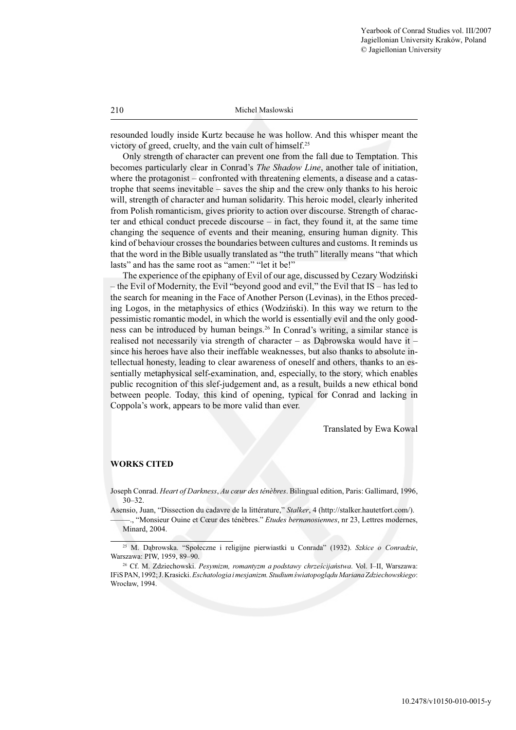resounded loudly inside Kurtz because he was hollow. And this whisper meant the victory of greed, cruelty, and the vain cult of himself.25

Only strength of character can prevent one from the fall due to Temptation. This becomes particularly clear in Conrad's *The Shadow Line*, another tale of initiation, where the protagonist – confronted with threatening elements, a disease and a catastrophe that seems inevitable – saves the ship and the crew only thanks to his heroic will, strength of character and human solidarity. This heroic model, clearly inherited from Polish romanticism, gives priority to action over discourse. Strength of character and ethical conduct precede discourse – in fact, they found it, at the same time changing the sequence of events and their meaning, ensuring human dignity. This kind of behaviour crosses the boundaries between cultures and customs. It reminds us that the word in the Bible usually translated as "the truth" literally means "that which lasts" and has the same root as "amen:" "let it be!"

The experience of the epiphany of Evil of our age, discussed by Cezary Wodziński – the Evil of Modernity, the Evil "beyond good and evil," the Evil that IS – has led to the search for meaning in the Face of Another Person (Levinas), in the Ethos preceding Logos, in the metaphysics of ethics (Wodziński). In this way we return to the pessimistic romantic model, in which the world is essentially evil and the only goodness can be introduced by human beings.26 In Conrad's writing, a similar stance is realised not necessarily via strength of character – as Dabrowska would have it – since his heroes have also their ineffable weaknesses, but also thanks to absolute intellectual honesty, leading to clear awareness of oneself and others, thanks to an essentially metaphysical self-examination, and, especially, to the story, which enables public recognition of this slef-judgement and, as a result, builds a new ethical bond between people. Today, this kind of opening, typical for Conrad and lacking in Coppola's work, appears to be more valid than ever.

Translated by Ewa Kowal

## **WORKS CITED**

Joseph Conrad. *Heart of Darkness*, *Au cœur des ténèbres*. Bilingual edition, Paris: Gallimard, 1996, 30–32.

Asensio, Juan, "Dissection du cadavre de la littérature," *Stalker*, 4 (http://stalker.hautetfort.com/).

–––––., "Monsieur Ouine et Cœur des ténèbres." *Etudes bernanosiennes*, nr 23, Lettres modernes, Minard, 2004.

<sup>25</sup> M. Dąbrowska. "Społeczne i religijne pierwiastki u Conrada" (1932). *Szkice o Conradzie*, Warszawa: PIW, 1959, 89–90.

<sup>26</sup> Cf. M. Zdziechowski. *Pesymizm, romantyzm a podstawy chrześcijaństwa*. Vol. I–II, Warszawa: IFiS PAN, 1992; J. Krasicki. *Eschatologia i mesjanizm. Studium światopoglądu Mariana Zdziechowskiego*: Wrocław, 1994.